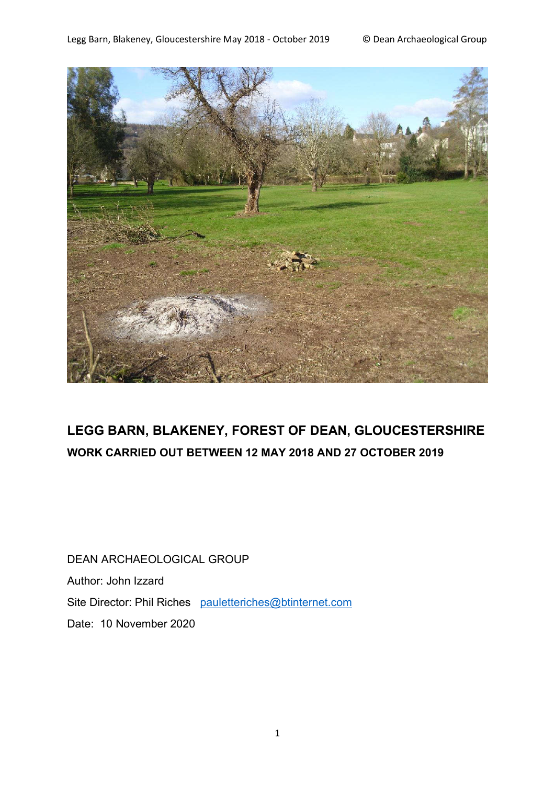

# **LEGG BARN, BLAKENEY, FOREST OF DEAN, GLOUCESTERSHIRE WORK CARRIED OUT BETWEEN 12 MAY 2018 AND 27 OCTOBER 2019**

DEAN ARCHAEOLOGICAL GROUP Author: John Izzard Site Director: Phil Riches pauletteriches@btinternet.com Date: 10 November 2020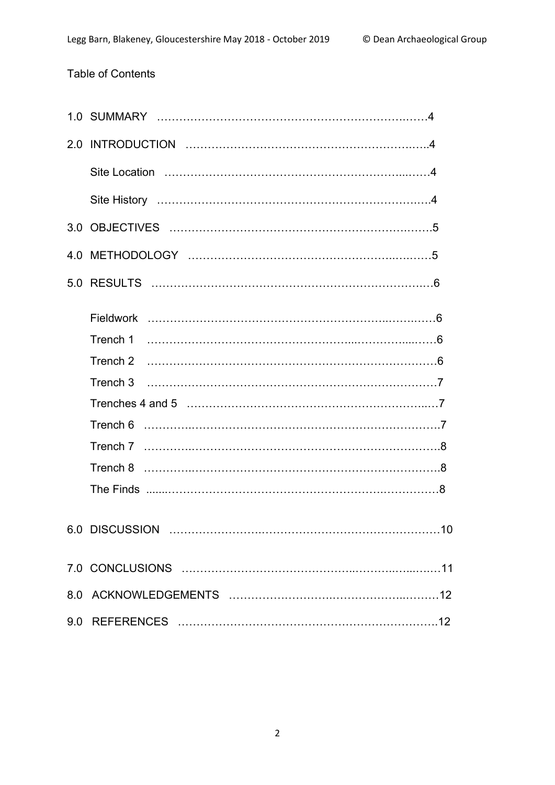## Table of Contents

| Trench 3 |
|----------|
|          |
|          |
|          |
|          |
|          |
|          |
|          |
|          |
|          |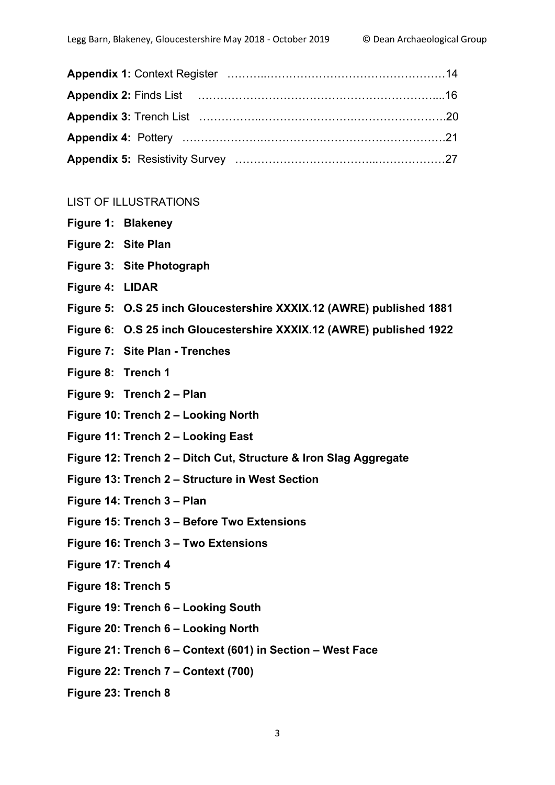| Appendix 2: Finds List (2001) 2: Finds List (2001) 2: Appendix 2: Finds List (2001) 2: Appendix 2: Finds List |  |
|---------------------------------------------------------------------------------------------------------------|--|
|                                                                                                               |  |
|                                                                                                               |  |
|                                                                                                               |  |

#### LIST OF ILLUSTRATIONS

- **Figure 1: Blakeney**
- **Figure 2: Site Plan**
- **Figure 3: Site Photograph**
- **Figure 4: LIDAR**
- **Figure 5: O.S 25 inch Gloucestershire XXXIX.12 (AWRE) published 1881**
- **Figure 6: O.S 25 inch Gloucestershire XXXIX.12 (AWRE) published 1922**
- **Figure 7: Site Plan - Trenches**
- **Figure 8: Trench 1**
- **Figure 9: Trench 2 – Plan**
- **Figure 10: Trench 2 – Looking North**
- **Figure 11: Trench 2 – Looking East**
- **Figure 12: Trench 2 – Ditch Cut, Structure & Iron Slag Aggregate**
- **Figure 13: Trench 2 – Structure in West Section**
- **Figure 14: Trench 3 – Plan**
- **Figure 15: Trench 3 – Before Two Extensions**
- **Figure 16: Trench 3 – Two Extensions**
- **Figure 17: Trench 4**
- **Figure 18: Trench 5**
- **Figure 19: Trench 6 – Looking South**
- **Figure 20: Trench 6 – Looking North**
- **Figure 21: Trench 6 – Context (601) in Section – West Face**
- **Figure 22: Trench 7 – Context (700)**
- **Figure 23: Trench 8**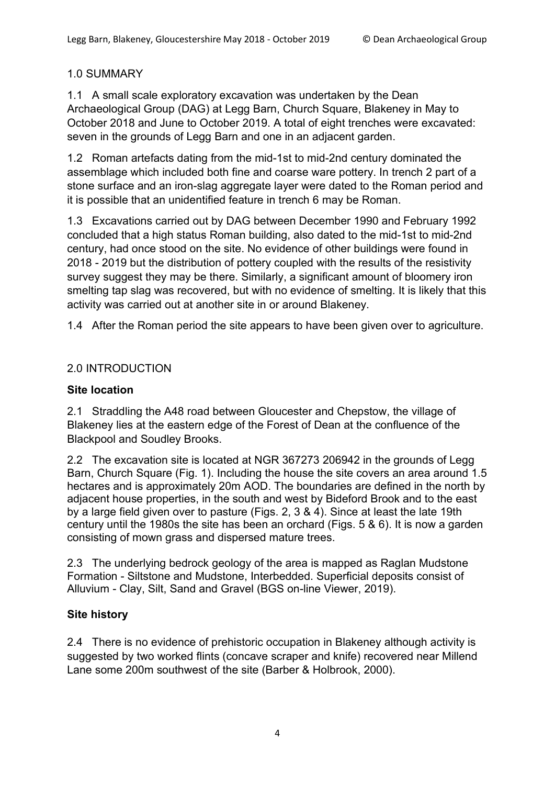## 1.0 SUMMARY

1.1 A small scale exploratory excavation was undertaken by the Dean Archaeological Group (DAG) at Legg Barn, Church Square, Blakeney in May to October 2018 and June to October 2019. A total of eight trenches were excavated: seven in the grounds of Legg Barn and one in an adjacent garden.

1.2 Roman artefacts dating from the mid-1st to mid-2nd century dominated the assemblage which included both fine and coarse ware pottery. In trench 2 part of a stone surface and an iron-slag aggregate layer were dated to the Roman period and it is possible that an unidentified feature in trench 6 may be Roman.

1.3 Excavations carried out by DAG between December 1990 and February 1992 concluded that a high status Roman building, also dated to the mid-1st to mid-2nd century, had once stood on the site. No evidence of other buildings were found in 2018 - 2019 but the distribution of pottery coupled with the results of the resistivity survey suggest they may be there. Similarly, a significant amount of bloomery iron smelting tap slag was recovered, but with no evidence of smelting. It is likely that this activity was carried out at another site in or around Blakeney.

1.4 After the Roman period the site appears to have been given over to agriculture.

## 2.0 INTRODUCTION

## **Site location**

2.1 Straddling the A48 road between Gloucester and Chepstow, the village of Blakeney lies at the eastern edge of the Forest of Dean at the confluence of the Blackpool and Soudley Brooks.

2.2 The excavation site is located at NGR 367273 206942 in the grounds of Legg Barn, Church Square (Fig. 1). Including the house the site covers an area around 1.5 hectares and is approximately 20m AOD. The boundaries are defined in the north by adjacent house properties, in the south and west by Bideford Brook and to the east by a large field given over to pasture (Figs. 2, 3 & 4). Since at least the late 19th century until the 1980s the site has been an orchard (Figs. 5 & 6). It is now a garden consisting of mown grass and dispersed mature trees.

2.3 The underlying bedrock geology of the area is mapped as Raglan Mudstone Formation - Siltstone and Mudstone, Interbedded. Superficial deposits consist of Alluvium - Clay, Silt, Sand and Gravel (BGS on-line Viewer, 2019).

## **Site history**

2.4 There is no evidence of prehistoric occupation in Blakeney although activity is suggested by two worked flints (concave scraper and knife) recovered near Millend Lane some 200m southwest of the site (Barber & Holbrook, 2000).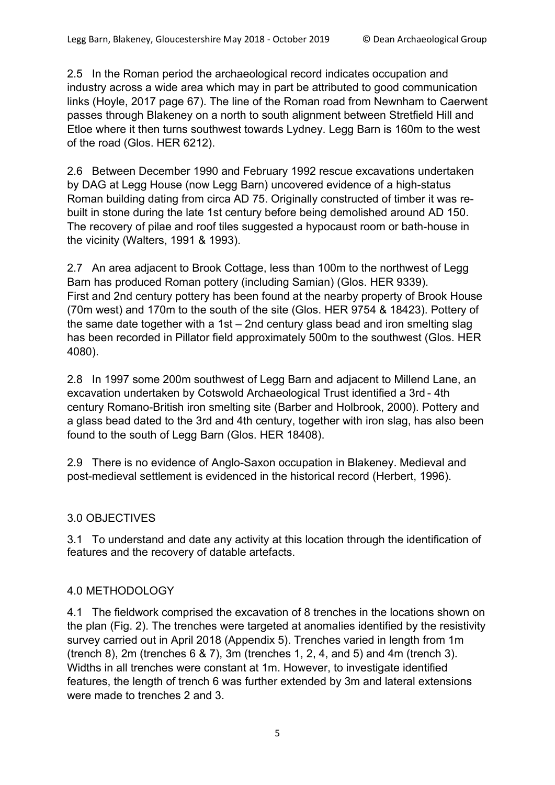2.5 In the Roman period the archaeological record indicates occupation and industry across a wide area which may in part be attributed to good communication links (Hoyle, 2017 page 67). The line of the Roman road from Newnham to Caerwent passes through Blakeney on a north to south alignment between Stretfield Hill and Etloe where it then turns southwest towards Lydney. Legg Barn is 160m to the west of the road (Glos. HER 6212).

2.6 Between December 1990 and February 1992 rescue excavations undertaken by DAG at Legg House (now Legg Barn) uncovered evidence of a high-status Roman building dating from circa AD 75. Originally constructed of timber it was rebuilt in stone during the late 1st century before being demolished around AD 150. The recovery of pilae and roof tiles suggested a hypocaust room or bath-house in the vicinity (Walters, 1991 & 1993).

2.7 An area adjacent to Brook Cottage, less than 100m to the northwest of Legg Barn has produced Roman pottery (including Samian) (Glos. HER 9339). First and 2nd century pottery has been found at the nearby property of Brook House (70m west) and 170m to the south of the site (Glos. HER 9754 & 18423). Pottery of the same date together with a 1st – 2nd century glass bead and iron smelting slag has been recorded in Pillator field approximately 500m to the southwest (Glos. HER 4080).

2.8 In 1997 some 200m southwest of Legg Barn and adjacent to Millend Lane, an excavation undertaken by Cotswold Archaeological Trust identified a 3rd - 4th century Romano-British iron smelting site (Barber and Holbrook, 2000). Pottery and a glass bead dated to the 3rd and 4th century, together with iron slag, has also been found to the south of Legg Barn (Glos. HER 18408).

2.9 There is no evidence of Anglo-Saxon occupation in Blakeney. Medieval and post-medieval settlement is evidenced in the historical record (Herbert, 1996).

## 3.0 OBJECTIVES

3.1 To understand and date any activity at this location through the identification of features and the recovery of datable artefacts.

## 4.0 METHODOLOGY

4.1 The fieldwork comprised the excavation of 8 trenches in the locations shown on the plan (Fig. 2). The trenches were targeted at anomalies identified by the resistivity survey carried out in April 2018 (Appendix 5). Trenches varied in length from 1m (trench 8), 2m (trenches 6 & 7), 3m (trenches 1, 2, 4, and 5) and 4m (trench 3). Widths in all trenches were constant at 1m. However, to investigate identified features, the length of trench 6 was further extended by 3m and lateral extensions were made to trenches 2 and 3.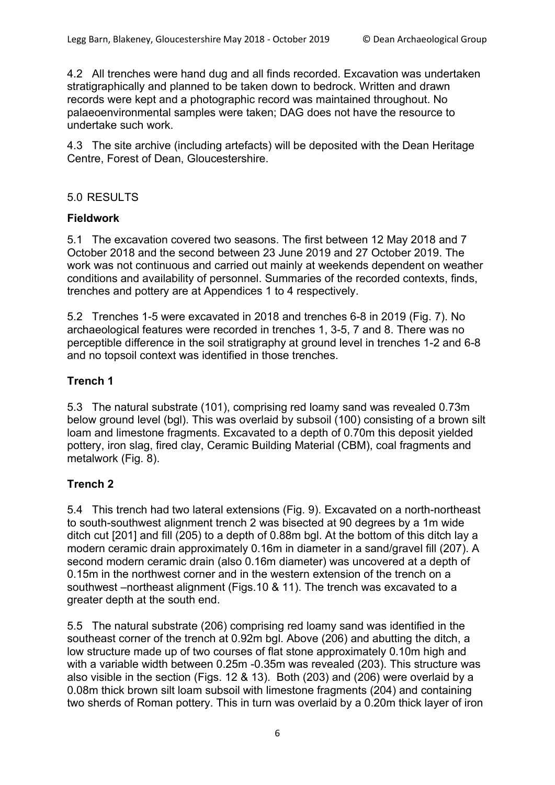4.2 All trenches were hand dug and all finds recorded. Excavation was undertaken stratigraphically and planned to be taken down to bedrock. Written and drawn records were kept and a photographic record was maintained throughout. No palaeoenvironmental samples were taken; DAG does not have the resource to undertake such work.

4.3 The site archive (including artefacts) will be deposited with the Dean Heritage Centre, Forest of Dean, Gloucestershire.

### 5.0 RESULTS

#### **Fieldwork**

5.1 The excavation covered two seasons. The first between 12 May 2018 and 7 October 2018 and the second between 23 June 2019 and 27 October 2019. The work was not continuous and carried out mainly at weekends dependent on weather conditions and availability of personnel. Summaries of the recorded contexts, finds, trenches and pottery are at Appendices 1 to 4 respectively.

5.2 Trenches 1-5 were excavated in 2018 and trenches 6-8 in 2019 (Fig. 7). No archaeological features were recorded in trenches 1, 3-5, 7 and 8. There was no perceptible difference in the soil stratigraphy at ground level in trenches 1-2 and 6-8 and no topsoil context was identified in those trenches.

## **Trench 1**

5.3 The natural substrate (101), comprising red loamy sand was revealed 0.73m below ground level (bgl). This was overlaid by subsoil (100) consisting of a brown silt loam and limestone fragments. Excavated to a depth of 0.70m this deposit yielded pottery, iron slag, fired clay, Ceramic Building Material (CBM), coal fragments and metalwork (Fig. 8).

## **Trench 2**

5.4 This trench had two lateral extensions (Fig. 9). Excavated on a north-northeast to south-southwest alignment trench 2 was bisected at 90 degrees by a 1m wide ditch cut [201] and fill (205) to a depth of 0.88m bgl. At the bottom of this ditch lay a modern ceramic drain approximately 0.16m in diameter in a sand/gravel fill (207). A second modern ceramic drain (also 0.16m diameter) was uncovered at a depth of 0.15m in the northwest corner and in the western extension of the trench on a southwest –northeast alignment (Figs.10 & 11). The trench was excavated to a greater depth at the south end.

5.5 The natural substrate (206) comprising red loamy sand was identified in the southeast corner of the trench at 0.92m bgl. Above (206) and abutting the ditch, a low structure made up of two courses of flat stone approximately 0.10m high and with a variable width between 0.25m -0.35m was revealed (203). This structure was also visible in the section (Figs. 12 & 13). Both (203) and (206) were overlaid by a 0.08m thick brown silt loam subsoil with limestone fragments (204) and containing two sherds of Roman pottery. This in turn was overlaid by a 0.20m thick layer of iron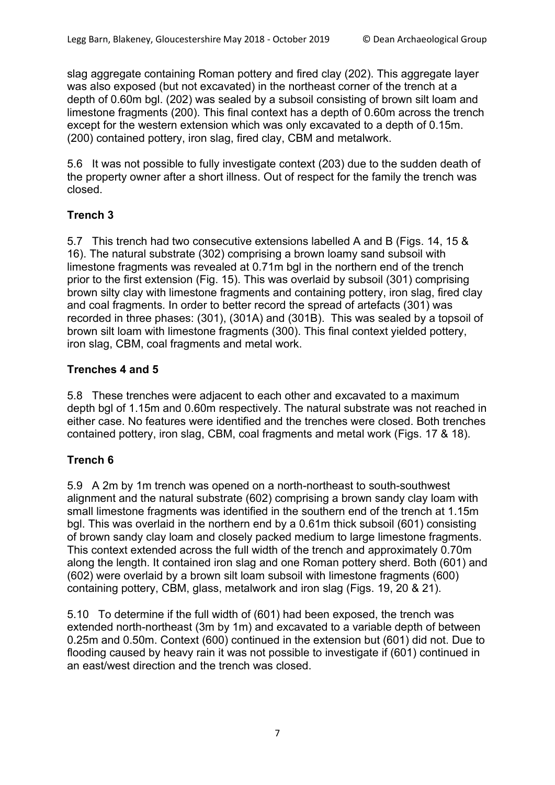slag aggregate containing Roman pottery and fired clay (202). This aggregate layer was also exposed (but not excavated) in the northeast corner of the trench at a depth of 0.60m bgl. (202) was sealed by a subsoil consisting of brown silt loam and limestone fragments (200). This final context has a depth of 0.60m across the trench except for the western extension which was only excavated to a depth of 0.15m. (200) contained pottery, iron slag, fired clay, CBM and metalwork.

5.6 It was not possible to fully investigate context (203) due to the sudden death of the property owner after a short illness. Out of respect for the family the trench was closed.

## **Trench 3**

5.7 This trench had two consecutive extensions labelled A and B (Figs. 14, 15 & 16). The natural substrate (302) comprising a brown loamy sand subsoil with limestone fragments was revealed at 0.71m bgl in the northern end of the trench prior to the first extension (Fig. 15). This was overlaid by subsoil (301) comprising brown silty clay with limestone fragments and containing pottery, iron slag, fired clay and coal fragments. In order to better record the spread of artefacts (301) was recorded in three phases: (301), (301A) and (301B). This was sealed by a topsoil of brown silt loam with limestone fragments (300). This final context yielded pottery, iron slag, CBM, coal fragments and metal work.

## **Trenches 4 and 5**

5.8 These trenches were adjacent to each other and excavated to a maximum depth bgl of 1.15m and 0.60m respectively. The natural substrate was not reached in either case. No features were identified and the trenches were closed. Both trenches contained pottery, iron slag, CBM, coal fragments and metal work (Figs. 17 & 18).

## **Trench 6**

5.9 A 2m by 1m trench was opened on a north-northeast to south-southwest alignment and the natural substrate (602) comprising a brown sandy clay loam with small limestone fragments was identified in the southern end of the trench at 1.15m bgl. This was overlaid in the northern end by a 0.61m thick subsoil (601) consisting of brown sandy clay loam and closely packed medium to large limestone fragments. This context extended across the full width of the trench and approximately 0.70m along the length. It contained iron slag and one Roman pottery sherd. Both (601) and (602) were overlaid by a brown silt loam subsoil with limestone fragments (600) containing pottery, CBM, glass, metalwork and iron slag (Figs. 19, 20 & 21).

5.10 To determine if the full width of (601) had been exposed, the trench was extended north-northeast (3m by 1m) and excavated to a variable depth of between 0.25m and 0.50m. Context (600) continued in the extension but (601) did not. Due to flooding caused by heavy rain it was not possible to investigate if (601) continued in an east/west direction and the trench was closed.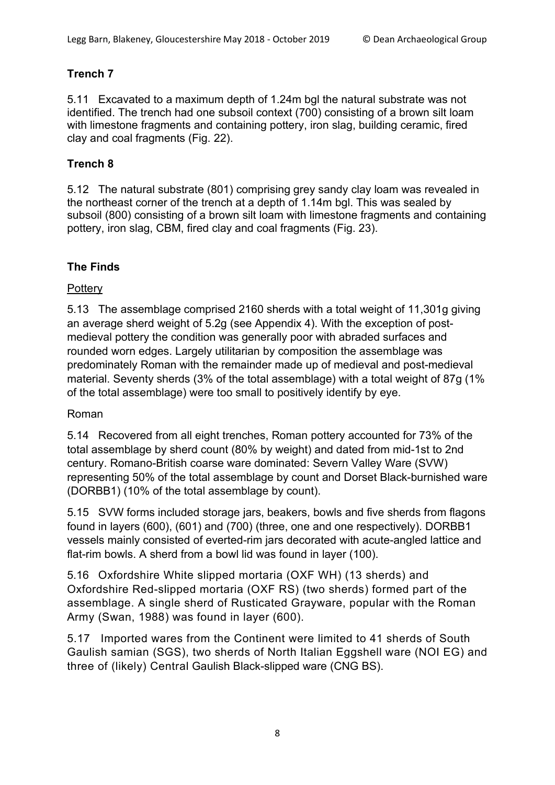## **Trench 7**

5.11 Excavated to a maximum depth of 1.24m bgl the natural substrate was not identified. The trench had one subsoil context (700) consisting of a brown silt loam with limestone fragments and containing pottery, iron slag, building ceramic, fired clay and coal fragments (Fig. 22).

## **Trench 8**

5.12 The natural substrate (801) comprising grey sandy clay loam was revealed in the northeast corner of the trench at a depth of 1.14m bgl. This was sealed by subsoil (800) consisting of a brown silt loam with limestone fragments and containing pottery, iron slag, CBM, fired clay and coal fragments (Fig. 23).

## **The Finds**

## **Pottery**

5.13 The assemblage comprised 2160 sherds with a total weight of 11,301g giving an average sherd weight of 5.2g (see Appendix 4). With the exception of postmedieval pottery the condition was generally poor with abraded surfaces and rounded worn edges. Largely utilitarian by composition the assemblage was predominately Roman with the remainder made up of medieval and post-medieval material. Seventy sherds (3% of the total assemblage) with a total weight of 87g (1% of the total assemblage) were too small to positively identify by eye.

## Roman

5.14 Recovered from all eight trenches, Roman pottery accounted for 73% of the total assemblage by sherd count (80% by weight) and dated from mid-1st to 2nd century. Romano-British coarse ware dominated: Severn Valley Ware (SVW) representing 50% of the total assemblage by count and Dorset Black-burnished ware (DORBB1) (10% of the total assemblage by count).

5.15 SVW forms included storage jars, beakers, bowls and five sherds from flagons found in layers (600), (601) and (700) (three, one and one respectively). DORBB1 vessels mainly consisted of everted-rim jars decorated with acute-angled lattice and flat-rim bowls. A sherd from a bowl lid was found in layer (100).

5.16 Oxfordshire White slipped mortaria (OXF WH) (13 sherds) and Oxfordshire Red-slipped mortaria (OXF RS) (two sherds) formed part of the assemblage. A single sherd of Rusticated Grayware, popular with the Roman Army (Swan, 1988) was found in layer (600).

5.17 Imported wares from the Continent were limited to 41 sherds of South Gaulish samian (SGS), two sherds of North Italian Eggshell ware (NOI EG) and three of (likely) Central Gaulish Black-slipped ware (CNG BS).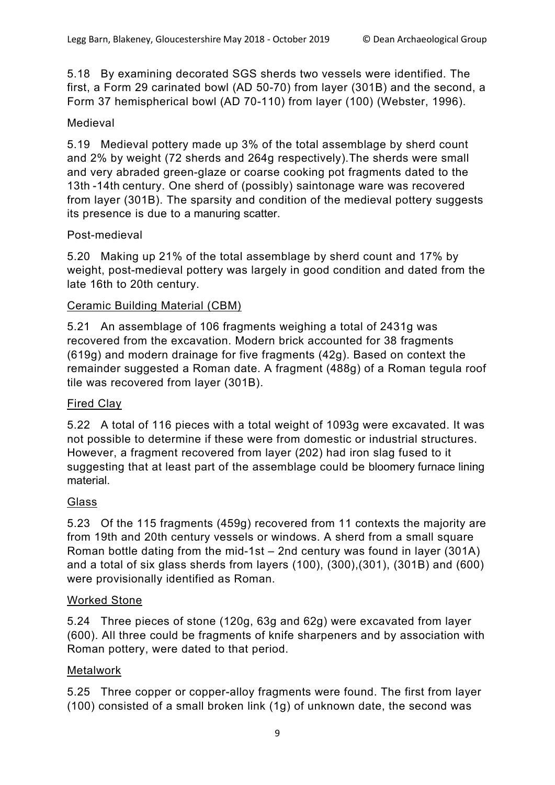5.18 By examining decorated SGS sherds two vessels were identified. The first, a Form 29 carinated bowl (AD 50-70) from layer (301B) and the second, a Form 37 hemispherical bowl (AD 70-110) from layer (100) (Webster, 1996).

## Medieval

5.19 Medieval pottery made up 3% of the total assemblage by sherd count and 2% by weight (72 sherds and 264g respectively).The sherds were small and very abraded green-glaze or coarse cooking pot fragments dated to the 13th -14th century. One sherd of (possibly) saintonage ware was recovered from layer (301B). The sparsity and condition of the medieval pottery suggests its presence is due to a manuring scatter.

## Post-medieval

5.20 Making up 21% of the total assemblage by sherd count and 17% by weight, post-medieval pottery was largely in good condition and dated from the late 16th to 20th century.

## Ceramic Building Material (CBM)

5.21 An assemblage of 106 fragments weighing a total of 2431g was recovered from the excavation. Modern brick accounted for 38 fragments (619g) and modern drainage for five fragments (42g). Based on context the remainder suggested a Roman date. A fragment (488g) of a Roman tegula roof tile was recovered from layer (301B).

## Fired Clay

5.22 A total of 116 pieces with a total weight of 1093g were excavated. It was not possible to determine if these were from domestic or industrial structures. However, a fragment recovered from layer (202) had iron slag fused to it suggesting that at least part of the assemblage could be bloomery furnace lining material.

## Glass

5.23 Of the 115 fragments (459g) recovered from 11 contexts the majority are from 19th and 20th century vessels or windows. A sherd from a small square Roman bottle dating from the mid-1st – 2nd century was found in layer (301A) and a total of six glass sherds from layers (100), (300),(301), (301B) and (600) were provisionally identified as Roman.

## Worked Stone

5.24 Three pieces of stone (120g, 63g and 62g) were excavated from layer (600). All three could be fragments of knife sharpeners and by association with Roman pottery, were dated to that period.

## Metalwork

5.25 Three copper or copper-alloy fragments were found. The first from layer (100) consisted of a small broken link (1g) of unknown date, the second was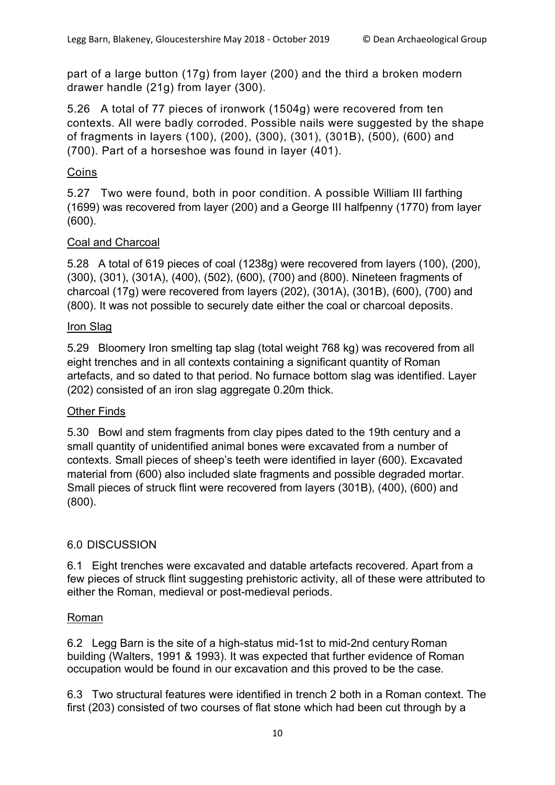part of a large button (17g) from layer (200) and the third a broken modern drawer handle (21g) from layer (300).

5.26 A total of 77 pieces of ironwork (1504g) were recovered from ten contexts. All were badly corroded. Possible nails were suggested by the shape of fragments in layers (100), (200), (300), (301), (301B), (500), (600) and (700). Part of a horseshoe was found in layer (401).

## Coins

5.27 Two were found, both in poor condition. A possible William III farthing (1699) was recovered from layer (200) and a George III halfpenny (1770) from layer (600).

## Coal and Charcoal

5.28 A total of 619 pieces of coal (1238g) were recovered from layers (100), (200), (300), (301), (301A), (400), (502), (600), (700) and (800). Nineteen fragments of charcoal (17g) were recovered from layers (202), (301A), (301B), (600), (700) and (800). It was not possible to securely date either the coal or charcoal deposits.

## Iron Slag

5.29 Bloomery Iron smelting tap slag (total weight 768 kg) was recovered from all eight trenches and in all contexts containing a significant quantity of Roman artefacts, and so dated to that period. No furnace bottom slag was identified. Layer (202) consisted of an iron slag aggregate 0.20m thick.

## Other Finds

5.30 Bowl and stem fragments from clay pipes dated to the 19th century and a small quantity of unidentified animal bones were excavated from a number of contexts. Small pieces of sheep's teeth were identified in layer (600). Excavated material from (600) also included slate fragments and possible degraded mortar. Small pieces of struck flint were recovered from layers (301B), (400), (600) and (800).

## 6.0 DISCUSSION

6.1 Eight trenches were excavated and datable artefacts recovered. Apart from a few pieces of struck flint suggesting prehistoric activity, all of these were attributed to either the Roman, medieval or post-medieval periods.

## Roman

6.2 Legg Barn is the site of a high-status mid-1st to mid-2nd century Roman building (Walters, 1991 & 1993). It was expected that further evidence of Roman occupation would be found in our excavation and this proved to be the case.

6.3 Two structural features were identified in trench 2 both in a Roman context. The first (203) consisted of two courses of flat stone which had been cut through by a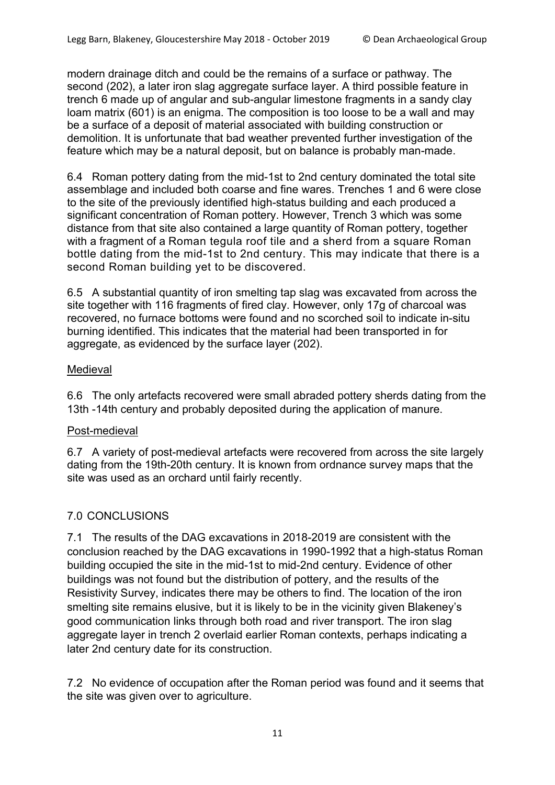modern drainage ditch and could be the remains of a surface or pathway. The second (202), a later iron slag aggregate surface layer. A third possible feature in trench 6 made up of angular and sub-angular limestone fragments in a sandy clay loam matrix (601) is an enigma. The composition is too loose to be a wall and may be a surface of a deposit of material associated with building construction or demolition. It is unfortunate that bad weather prevented further investigation of the feature which may be a natural deposit, but on balance is probably man-made.

6.4 Roman pottery dating from the mid-1st to 2nd century dominated the total site assemblage and included both coarse and fine wares. Trenches 1 and 6 were close to the site of the previously identified high-status building and each produced a significant concentration of Roman pottery. However, Trench 3 which was some distance from that site also contained a large quantity of Roman pottery, together with a fragment of a Roman tegula roof tile and a sherd from a square Roman bottle dating from the mid-1st to 2nd century. This may indicate that there is a second Roman building yet to be discovered.

6.5 A substantial quantity of iron smelting tap slag was excavated from across the site together with 116 fragments of fired clay. However, only 17g of charcoal was recovered, no furnace bottoms were found and no scorched soil to indicate in-situ burning identified. This indicates that the material had been transported in for aggregate, as evidenced by the surface layer (202).

#### Medieval

6.6 The only artefacts recovered were small abraded pottery sherds dating from the 13th -14th century and probably deposited during the application of manure.

## Post-medieval

6.7 A variety of post-medieval artefacts were recovered from across the site largely dating from the 19th-20th century. It is known from ordnance survey maps that the site was used as an orchard until fairly recently.

## 7.0 CONCLUSIONS

7.1 The results of the DAG excavations in 2018-2019 are consistent with the conclusion reached by the DAG excavations in 1990-1992 that a high-status Roman building occupied the site in the mid-1st to mid-2nd century. Evidence of other buildings was not found but the distribution of pottery, and the results of the Resistivity Survey, indicates there may be others to find. The location of the iron smelting site remains elusive, but it is likely to be in the vicinity given Blakeney's good communication links through both road and river transport. The iron slag aggregate layer in trench 2 overlaid earlier Roman contexts, perhaps indicating a later 2nd century date for its construction.

7.2 No evidence of occupation after the Roman period was found and it seems that the site was given over to agriculture.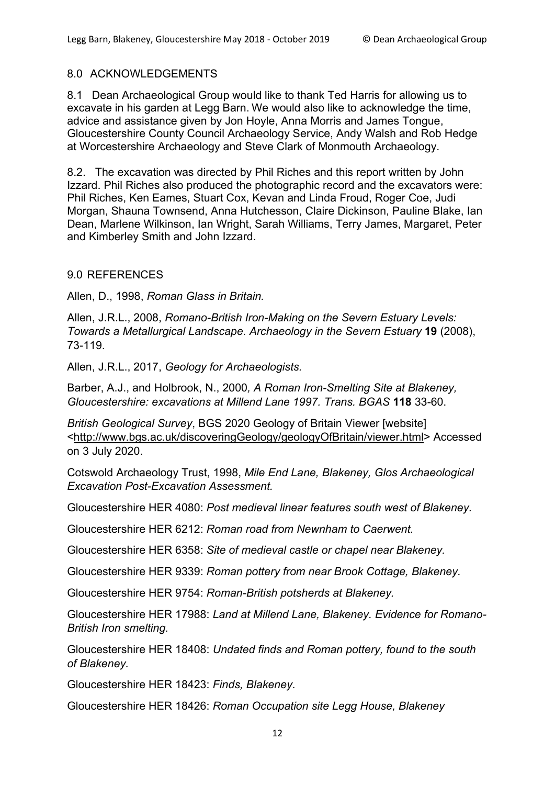#### 8.0 ACKNOWLEDGEMENTS

8.1 Dean Archaeological Group would like to thank Ted Harris for allowing us to excavate in his garden at Legg Barn. We would also like to acknowledge the time, advice and assistance given by Jon Hoyle, Anna Morris and James Tongue, Gloucestershire County Council Archaeology Service, Andy Walsh and Rob Hedge at Worcestershire Archaeology and Steve Clark of Monmouth Archaeology.

8.2. The excavation was directed by Phil Riches and this report written by John Izzard. Phil Riches also produced the photographic record and the excavators were: Phil Riches, Ken Eames, Stuart Cox, Kevan and Linda Froud, Roger Coe, Judi Morgan, Shauna Townsend, Anna Hutchesson, Claire Dickinson, Pauline Blake, Ian Dean, Marlene Wilkinson, Ian Wright, Sarah Williams, Terry James, Margaret, Peter and Kimberley Smith and John Izzard.

#### 9.0 REFERENCES

Allen, D., 1998, *Roman Glass in Britain.*

Allen, J.R.L., 2008, *Romano-British Iron-Making on the Severn Estuary Levels: Towards a Metallurgical Landscape. Archaeology in the Severn Estuary* **19** (2008), 73-119.

Allen, J.R.L., 2017, *Geology for Archaeologists.*

Barber, A.J., and Holbrook, N., 2000*, A Roman Iron-Smelting Site at Blakeney, Gloucestershire: excavations at Millend Lane 1997. Trans. BGAS* **118** 33-60.

*British Geological Survey*, BGS 2020 Geology of Britain Viewer [website] <http://www.bgs.ac.uk/discoveringGeology/geologyOfBritain/viewer.html> Accessed on 3 July 2020.

Cotswold Archaeology Trust, 1998, *Mile End Lane, Blakeney, Glos Archaeological Excavation Post-Excavation Assessment.*

Gloucestershire HER 4080: *Post medieval linear features south west of Blakeney.*

Gloucestershire HER 6212: *Roman road from Newnham to Caerwent.*

Gloucestershire HER 6358: *Site of medieval castle or chapel near Blakeney.*

Gloucestershire HER 9339: *Roman pottery from near Brook Cottage, Blakeney.*

Gloucestershire HER 9754: *Roman-British potsherds at Blakeney.*

Gloucestershire HER 17988: *Land at Millend Lane, Blakeney. Evidence for Romano-British Iron smelting.*

Gloucestershire HER 18408: *Undated finds and Roman pottery, found to the south of Blakeney.*

Gloucestershire HER 18423: *Finds, Blakeney*.

Gloucestershire HER 18426: *Roman Occupation site Legg House, Blakeney*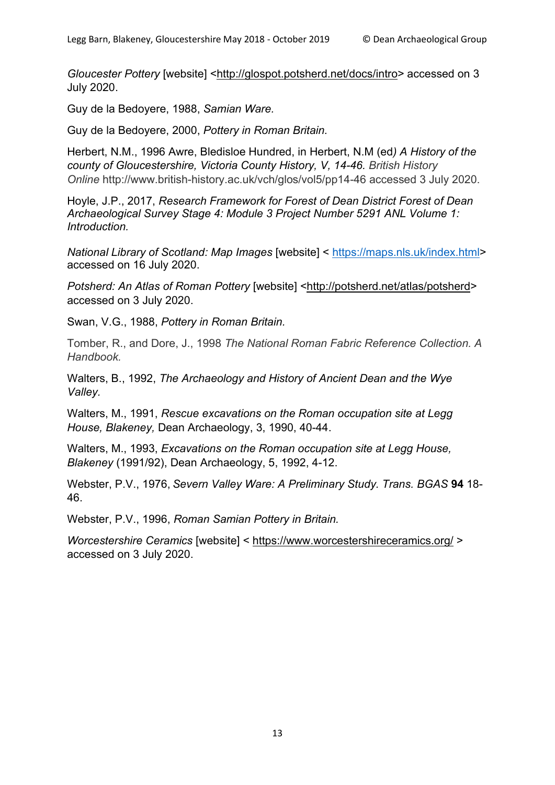*Gloucester Pottery* [website] <http://glospot.potsherd.net/docs/intro> accessed on 3 July 2020.

Guy de la Bedoyere, 1988, *Samian Ware.*

Guy de la Bedoyere, 2000, *Pottery in Roman Britain.*

Herbert, N.M., 1996 Awre, Bledisloe Hundred, in Herbert, N.M (ed*) A History of the county of Gloucestershire, Victoria County History, V, 14-46. British History Online* http://www.british-history.ac.uk/vch/glos/vol5/pp14-46 accessed 3 July 2020.

Hoyle, J.P., 2017, *Research Framework for Forest of Dean District Forest of Dean Archaeological Survey Stage 4: Module 3 Project Number 5291 ANL Volume 1: Introduction.*

*National Library of Scotland: Map Images* [website] < https://maps.nls.uk/index.html> accessed on 16 July 2020.

*Potsherd: An Atlas of Roman Pottery* [website] <http://potsherd.net/atlas/potsherd> accessed on 3 July 2020.

Swan, V.G., 1988, *Pottery in Roman Britain.*

Tomber, R., and Dore, J., 1998 *The National Roman Fabric Reference Collection. A Handbook.*

Walters, B., 1992, *The Archaeology and History of Ancient Dean and the Wye Valley.*

Walters, M., 1991, *Rescue excavations on the Roman occupation site at Legg House, Blakeney,* Dean Archaeology, 3, 1990, 40-44.

Walters, M., 1993, *Excavations on the Roman occupation site at Legg House, Blakeney* (1991/92), Dean Archaeology, 5, 1992, 4-12.

Webster, P.V., 1976, *Severn Valley Ware: A Preliminary Study. Trans. BGAS* **94** 18- 46.

Webster, P.V., 1996, *Roman Samian Pottery in Britain.*

*Worcestershire Ceramics* [website] < https://www.worcestershireceramics.org/ > accessed on 3 July 2020.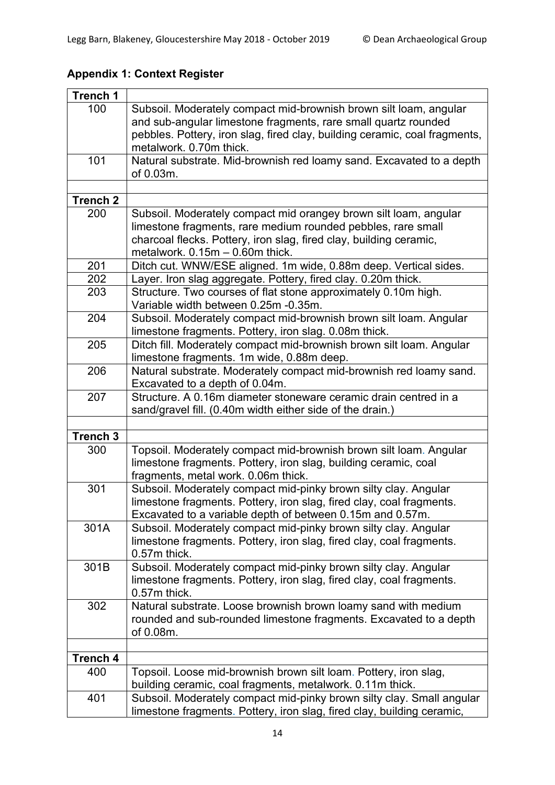| <b>Trench 1</b> |                                                                                                                                                 |
|-----------------|-------------------------------------------------------------------------------------------------------------------------------------------------|
| 100             | Subsoil. Moderately compact mid-brownish brown silt loam, angular                                                                               |
|                 | and sub-angular limestone fragments, rare small quartz rounded                                                                                  |
|                 | pebbles. Pottery, iron slag, fired clay, building ceramic, coal fragments,                                                                      |
|                 | metalwork. 0.70m thick.                                                                                                                         |
| 101             | Natural substrate. Mid-brownish red loamy sand. Excavated to a depth                                                                            |
|                 | of 0.03m.                                                                                                                                       |
|                 |                                                                                                                                                 |
| <b>Trench 2</b> |                                                                                                                                                 |
| 200             | Subsoil. Moderately compact mid orangey brown silt loam, angular                                                                                |
|                 | limestone fragments, rare medium rounded pebbles, rare small<br>charcoal flecks. Pottery, iron slag, fired clay, building ceramic,              |
|                 | metalwork. 0.15m - 0.60m thick.                                                                                                                 |
| 201             | Ditch cut. WNW/ESE aligned. 1m wide, 0.88m deep. Vertical sides.                                                                                |
| 202             | Layer. Iron slag aggregate. Pottery, fired clay. 0.20m thick.                                                                                   |
| 203             | Structure. Two courses of flat stone approximately 0.10m high.                                                                                  |
|                 | Variable width between 0.25m -0.35m.                                                                                                            |
| 204             | Subsoil. Moderately compact mid-brownish brown silt loam. Angular                                                                               |
|                 | limestone fragments. Pottery, iron slag. 0.08m thick.                                                                                           |
| 205             | Ditch fill. Moderately compact mid-brownish brown silt loam. Angular                                                                            |
|                 | limestone fragments. 1m wide, 0.88m deep.                                                                                                       |
| 206             | Natural substrate. Moderately compact mid-brownish red loamy sand.                                                                              |
|                 | Excavated to a depth of 0.04m.                                                                                                                  |
| 207             | Structure. A 0.16m diameter stoneware ceramic drain centred in a<br>sand/gravel fill. (0.40m width either side of the drain.)                   |
|                 |                                                                                                                                                 |
| Trench 3        |                                                                                                                                                 |
| 300             | Topsoil. Moderately compact mid-brownish brown silt loam. Angular                                                                               |
|                 | limestone fragments. Pottery, iron slag, building ceramic, coal                                                                                 |
|                 | fragments, metal work. 0.06m thick.                                                                                                             |
| 301             | Subsoil. Moderately compact mid-pinky brown silty clay. Angular                                                                                 |
|                 | limestone fragments. Pottery, iron slag, fired clay, coal fragments.                                                                            |
|                 | Excavated to a variable depth of between 0.15m and 0.57m.                                                                                       |
| 301A            | Subsoil. Moderately compact mid-pinky brown silty clay. Angular                                                                                 |
|                 | limestone fragments. Pottery, iron slag, fired clay, coal fragments.<br>0.57m thick.                                                            |
| 301B            | Subsoil. Moderately compact mid-pinky brown silty clay. Angular                                                                                 |
|                 | limestone fragments. Pottery, iron slag, fired clay, coal fragments.                                                                            |
|                 | 0.57m thick.                                                                                                                                    |
| 302             | Natural substrate. Loose brownish brown loamy sand with medium                                                                                  |
|                 | rounded and sub-rounded limestone fragments. Excavated to a depth                                                                               |
|                 | of 0.08m.                                                                                                                                       |
|                 |                                                                                                                                                 |
| <b>Trench 4</b> |                                                                                                                                                 |
| 400             | Topsoil. Loose mid-brownish brown silt loam. Pottery, iron slag,                                                                                |
|                 | building ceramic, coal fragments, metalwork. 0.11m thick.                                                                                       |
| 401             | Subsoil. Moderately compact mid-pinky brown silty clay. Small angular<br>limestone fragments. Pottery, iron slag, fired clay, building ceramic, |
|                 |                                                                                                                                                 |

# **Appendix 1: Context Register**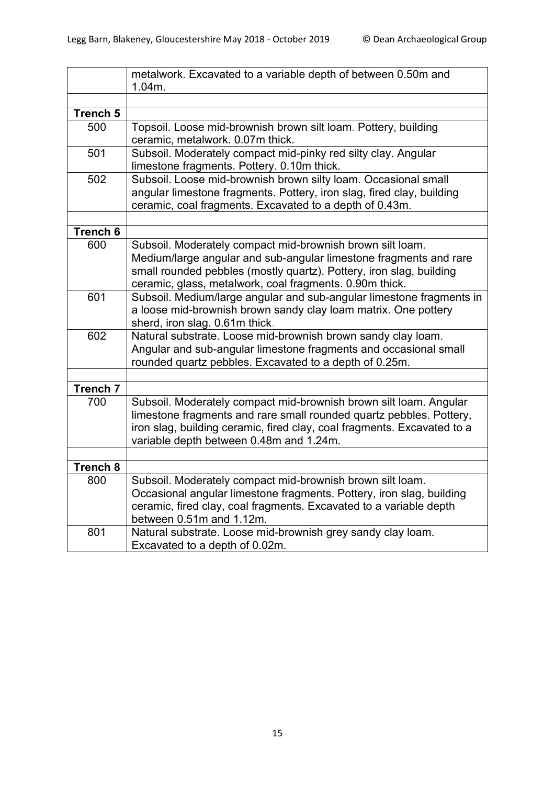|                 | metalwork. Excavated to a variable depth of between 0.50m and           |
|-----------------|-------------------------------------------------------------------------|
|                 | 1.04m.                                                                  |
|                 |                                                                         |
| Trench 5        |                                                                         |
| 500             | Topsoil. Loose mid-brownish brown silt loam. Pottery, building          |
|                 | ceramic, metalwork. 0.07m thick.                                        |
| 501             | Subsoil. Moderately compact mid-pinky red silty clay. Angular           |
|                 | limestone fragments. Pottery. 0.10m thick.                              |
| 502             | Subsoil. Loose mid-brownish brown silty loam. Occasional small          |
|                 | angular limestone fragments. Pottery, iron slag, fired clay, building   |
|                 | ceramic, coal fragments. Excavated to a depth of 0.43m.                 |
|                 |                                                                         |
| Trench 6        |                                                                         |
| 600             | Subsoil. Moderately compact mid-brownish brown silt loam.               |
|                 | Medium/large angular and sub-angular limestone fragments and rare       |
|                 | small rounded pebbles (mostly quartz). Pottery, iron slag, building     |
|                 | ceramic, glass, metalwork, coal fragments. 0.90m thick.                 |
| 601             | Subsoil. Medium/large angular and sub-angular limestone fragments in    |
|                 | a loose mid-brownish brown sandy clay loam matrix. One pottery          |
|                 | sherd, iron slag. 0.61m thick.                                          |
| 602             | Natural substrate. Loose mid-brownish brown sandy clay loam.            |
|                 | Angular and sub-angular limestone fragments and occasional small        |
|                 | rounded quartz pebbles. Excavated to a depth of 0.25m.                  |
|                 |                                                                         |
| <b>Trench 7</b> |                                                                         |
| 700             | Subsoil. Moderately compact mid-brownish brown silt loam. Angular       |
|                 | limestone fragments and rare small rounded quartz pebbles. Pottery,     |
|                 | iron slag, building ceramic, fired clay, coal fragments. Excavated to a |
|                 | variable depth between 0.48m and 1.24m.                                 |
|                 |                                                                         |
| <b>Trench 8</b> |                                                                         |
| 800             | Subsoil. Moderately compact mid-brownish brown silt loam.               |
|                 | Occasional angular limestone fragments. Pottery, iron slag, building    |
|                 | ceramic, fired clay, coal fragments. Excavated to a variable depth      |
|                 | between 0.51m and 1.12m.                                                |
| 801             | Natural substrate. Loose mid-brownish grey sandy clay loam.             |
|                 | Excavated to a depth of 0.02m.                                          |
|                 |                                                                         |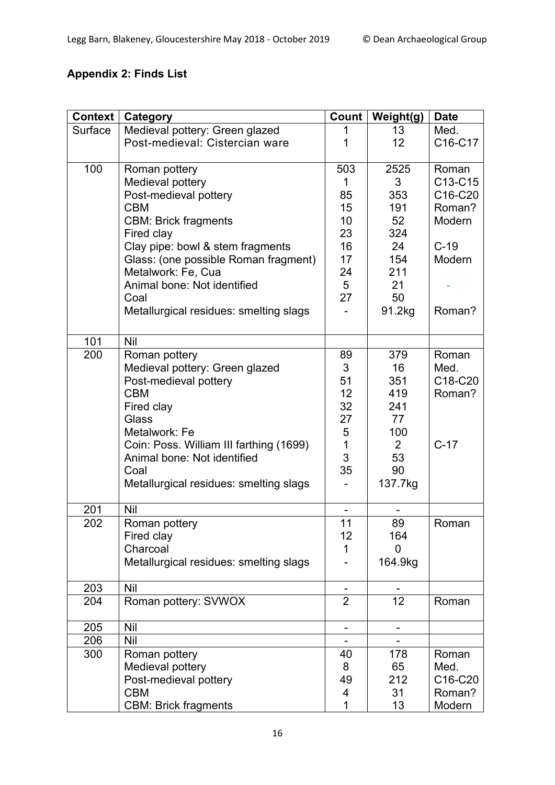# **Appendix 2: Finds List**

| <b>Context</b> | Category                                | Count          | Weight(g)      | <b>Date</b>                      |
|----------------|-----------------------------------------|----------------|----------------|----------------------------------|
| Surface        | Medieval pottery: Green glazed          |                | 13             | Med.                             |
|                | Post-medieval: Cistercian ware          | 1              | 12             | C16-C17                          |
|                |                                         |                |                |                                  |
| 100            | Roman pottery                           | 503            | 2525           | Roman                            |
|                | Medieval pottery                        | 1              | 3              | C13-C15                          |
|                | Post-medieval pottery                   | 85             | 353            | C16-C20                          |
|                | <b>CBM</b>                              | 15             | 191            | Roman?                           |
|                | <b>CBM: Brick fragments</b>             | 10             | 52             | Modern                           |
|                | Fired clay                              | 23             | 324            |                                  |
|                | Clay pipe: bowl & stem fragments        | 16             | 24             | $C-19$                           |
|                | Glass: (one possible Roman fragment)    | 17             | 154            | Modern                           |
|                | Metalwork: Fe, Cua                      | 24             | 211            |                                  |
|                | Animal bone: Not identified             | 5              | 21             |                                  |
|                | Coal                                    | 27             | 50             |                                  |
|                | Metallurgical residues: smelting slags  |                | 91.2kg         | Roman?                           |
|                |                                         |                |                |                                  |
| 101            | <b>Nil</b>                              |                |                |                                  |
| 200            | Roman pottery                           | 89             | 379            | Roman                            |
|                | Medieval pottery: Green glazed          | 3              | 16             | Med.                             |
|                | Post-medieval pottery                   | 51             | 351            | C18-C20                          |
|                | <b>CBM</b>                              | 12             | 419            | Roman?                           |
|                | Fired clay                              | 32             | 241            |                                  |
|                | Glass                                   | 27             | 77             |                                  |
|                | Metalwork: Fe                           | 5              | 100            |                                  |
|                | Coin: Poss. William III farthing (1699) | $\mathbf{1}$   | $\overline{2}$ | $C-17$                           |
|                | Animal bone: Not identified             | 3              | 53             |                                  |
|                | Coal                                    | 35             | 90             |                                  |
|                | Metallurgical residues: smelting slags  |                | 137.7kg        |                                  |
|                |                                         |                |                |                                  |
| 201            | Nil                                     |                |                |                                  |
| 202            | Roman pottery                           | 11<br>12       | 89             | Roman                            |
|                | Fired clay<br>Charcoal                  | 1              | 164<br>0       |                                  |
|                |                                         |                |                |                                  |
|                | Metallurgical residues: smelting slags  |                | 164.9kg        |                                  |
| 203            | <b>Nil</b>                              |                |                |                                  |
| 204            | Roman pottery: SVWOX                    | $\overline{2}$ | 12             | Roman                            |
|                |                                         |                |                |                                  |
| 205            | <b>Nil</b>                              |                |                |                                  |
| 206            | <b>Nil</b>                              |                |                |                                  |
| 300            | Roman pottery                           | 40             | 178            | Roman                            |
|                | Medieval pottery                        | 8              | 65             | Med.                             |
|                | Post-medieval pottery                   | 49             | 212            | C <sub>16</sub> -C <sub>20</sub> |
|                | <b>CBM</b>                              | 4              | 31             | Roman?                           |
|                | <b>CBM: Brick fragments</b>             | 1              | 13             | Modern                           |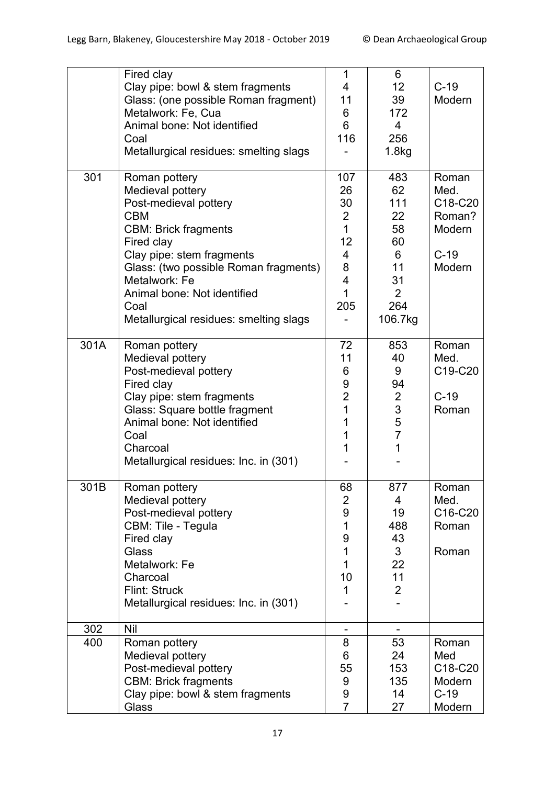|      | Fired clay<br>Clay pipe: bowl & stem fragments<br>Glass: (one possible Roman fragment)<br>Metalwork: Fe, Cua<br>Animal bone: Not identified<br>Coal<br>Metallurgical residues: smelting slags                                                                                                 | 1<br>4<br>11<br>$\,6$<br>6<br>116                                                                        | 6<br>12 <sub>2</sub><br>39<br>172<br>$\overline{4}$<br>256<br>1.8kg                     | $C-19$<br>Modern                                                                          |
|------|-----------------------------------------------------------------------------------------------------------------------------------------------------------------------------------------------------------------------------------------------------------------------------------------------|----------------------------------------------------------------------------------------------------------|-----------------------------------------------------------------------------------------|-------------------------------------------------------------------------------------------|
| 301  | Roman pottery<br>Medieval pottery<br>Post-medieval pottery<br><b>CBM</b><br><b>CBM: Brick fragments</b><br>Fired clay<br>Clay pipe: stem fragments<br>Glass: (two possible Roman fragments)<br>Metalwork: Fe<br>Animal bone: Not identified<br>Coal<br>Metallurgical residues: smelting slags | 107<br>26<br>30<br>2<br>$\mathbf{1}$<br>12<br>$\overline{4}$<br>8<br>$\overline{\mathbf{4}}$<br>1<br>205 | 483<br>62<br>111<br>22<br>58<br>60<br>6<br>11<br>31<br>$\overline{2}$<br>264<br>106.7kg | Roman<br>Med.<br>C <sub>18</sub> -C <sub>20</sub><br>Roman?<br>Modern<br>$C-19$<br>Modern |
| 301A | Roman pottery<br>Medieval pottery<br>Post-medieval pottery<br>Fired clay<br>Clay pipe: stem fragments<br>Glass: Square bottle fragment<br>Animal bone: Not identified<br>Coal<br>Charcoal<br>Metallurgical residues: Inc. in (301)                                                            | 72<br>11<br>6<br>9<br>$\overline{2}$<br>1<br>1<br>1<br>1                                                 | 853<br>40<br>9<br>94<br>$\overline{2}$<br>3<br>5<br>$\overline{7}$<br>1                 | Roman<br>Med.<br>C19-C20<br>$C-19$<br>Roman                                               |
| 301B | Roman pottery<br>Medieval pottery<br>Post-medieval pottery<br>CBM: Tile - Tegula<br>Fired clay<br>Glass<br>Metalwork: Fe<br>Charcoal<br><b>Flint: Struck</b><br>Metallurgical residues: Inc. in (301)                                                                                         | 68<br>$\overline{2}$<br>9<br>1<br>9<br>$\mathbf{1}$<br>1<br>10<br>1                                      | 877<br>4<br>19<br>488<br>43<br>3<br>22<br>11<br>$\overline{2}$                          | Roman<br>Med.<br>C16-C20<br>Roman<br>Roman                                                |
| 302  | Nil                                                                                                                                                                                                                                                                                           |                                                                                                          |                                                                                         |                                                                                           |
| 400  | Roman pottery<br>Medieval pottery<br>Post-medieval pottery<br><b>CBM: Brick fragments</b><br>Clay pipe: bowl & stem fragments<br>Glass                                                                                                                                                        | 8<br>6<br>55<br>9<br>9<br>$\overline{7}$                                                                 | 53<br>24<br>153<br>135<br>14<br>27                                                      | Roman<br>Med<br>C18-C20<br>Modern<br>$C-19$<br>Modern                                     |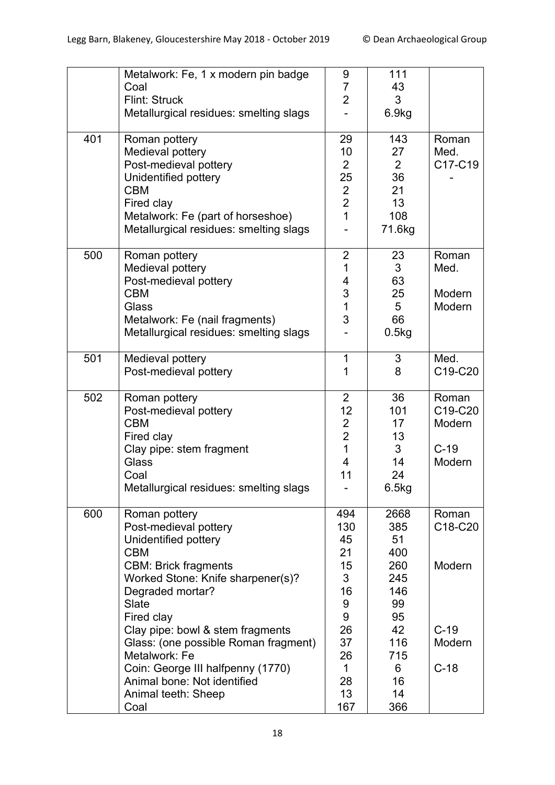|     | Metalwork: Fe, 1 x modern pin badge    | 9                       | 111            |         |
|-----|----------------------------------------|-------------------------|----------------|---------|
|     | Coal                                   | $\overline{7}$          | 43             |         |
|     | Flint: Struck                          | $\overline{2}$          | 3              |         |
|     | Metallurgical residues: smelting slags |                         | 6.9kg          |         |
|     |                                        |                         |                |         |
| 401 | Roman pottery                          | 29                      | 143            | Roman   |
|     | Medieval pottery                       | 10                      | 27             | Med.    |
|     | Post-medieval pottery                  | $\overline{2}$          | $\overline{2}$ | C17-C19 |
|     | Unidentified pottery                   | 25                      | 36             |         |
|     | <b>CBM</b>                             | $\overline{2}$          | 21             |         |
|     | Fired clay                             | $\overline{2}$          | 13             |         |
|     | Metalwork: Fe (part of horseshoe)      | $\overline{1}$          | 108            |         |
|     | Metallurgical residues: smelting slags |                         | 71.6kg         |         |
|     |                                        |                         |                |         |
| 500 | Roman pottery                          | $\overline{2}$          | 23             | Roman   |
|     | Medieval pottery                       | 1                       | 3              | Med.    |
|     | Post-medieval pottery                  | 4                       | 63             |         |
|     | <b>CBM</b>                             | 3                       | 25             | Modern  |
|     | Glass                                  | $\overline{1}$          | 5              | Modern  |
|     | Metalwork: Fe (nail fragments)         | 3                       | 66             |         |
|     | Metallurgical residues: smelting slags |                         | 0.5kg          |         |
|     |                                        |                         |                |         |
| 501 | Medieval pottery                       | $\mathbf 1$             | 3              | Med.    |
|     | Post-medieval pottery                  | 1                       | 8              | C19-C20 |
|     |                                        |                         |                |         |
| 502 | Roman pottery                          | $\overline{2}$          | 36             | Roman   |
|     | Post-medieval pottery                  | 12                      | 101            | C19-C20 |
|     | <b>CBM</b>                             | $\overline{2}$          | 17             | Modern  |
|     | Fired clay                             | $\overline{2}$          | 13             |         |
|     | Clay pipe: stem fragment               | $\overline{1}$          | 3              | $C-19$  |
|     | Glass                                  | $\overline{\mathbf{4}}$ | 14             | Modern  |
|     | Coal                                   | 11                      | 24             |         |
|     | Metallurgical residues: smelting slags |                         | 6.5kg          |         |
|     |                                        |                         |                |         |
| 600 | Roman pottery                          | 494                     | 2668           | Roman   |
|     | Post-medieval pottery                  | 130                     | 385            | C18-C20 |
|     | Unidentified pottery                   | 45                      | 51             |         |
|     | <b>CBM</b>                             | 21                      | 400            |         |
|     | <b>CBM: Brick fragments</b>            | 15                      | 260            | Modern  |
|     | Worked Stone: Knife sharpener(s)?      | 3                       | 245            |         |
|     | Degraded mortar?                       | 16                      | 146            |         |
|     | <b>Slate</b>                           | 9                       | 99             |         |
|     | Fired clay                             | 9                       | 95             |         |
|     | Clay pipe: bowl & stem fragments       | 26                      | 42             | $C-19$  |
|     | Glass: (one possible Roman fragment)   | 37                      | 116            | Modern  |
|     | Metalwork: Fe                          | 26                      | 715            |         |
|     | Coin: George III halfpenny (1770)      | $\mathbf{1}$            | 6              | $C-18$  |
|     | Animal bone: Not identified            | 28                      | 16             |         |
|     | Animal teeth: Sheep                    | 13                      | 14             |         |
|     | Coal                                   | 167                     | 366            |         |
|     |                                        |                         |                |         |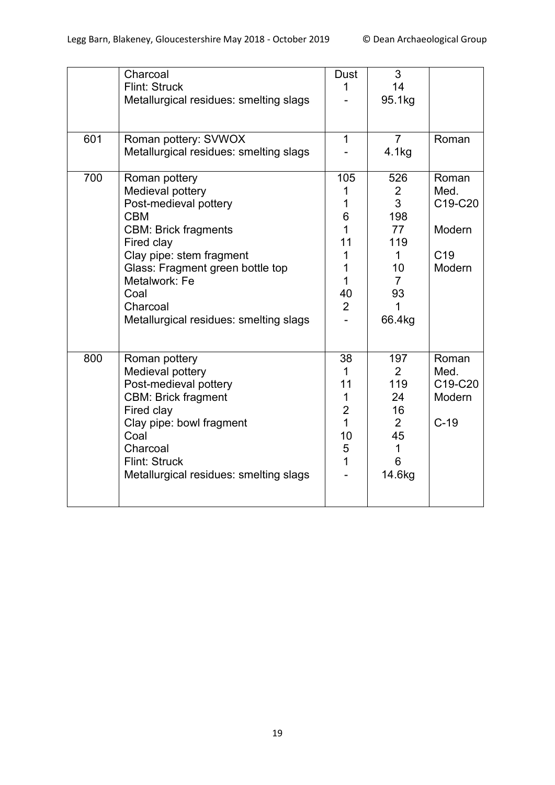|     | Charcoal<br>Flint: Struck<br>Metallurgical residues: smelting slags                                                                                                                                                                                                  | Dust<br>1                                                                             | 3<br>14<br>95.1kg                                                                                |                                                                 |
|-----|----------------------------------------------------------------------------------------------------------------------------------------------------------------------------------------------------------------------------------------------------------------------|---------------------------------------------------------------------------------------|--------------------------------------------------------------------------------------------------|-----------------------------------------------------------------|
| 601 | Roman pottery: SVWOX<br>Metallurgical residues: smelting slags                                                                                                                                                                                                       | $\mathbf 1$                                                                           | $\overline{7}$<br>4.1kg                                                                          | Roman                                                           |
| 700 | Roman pottery<br>Medieval pottery<br>Post-medieval pottery<br><b>CBM</b><br><b>CBM: Brick fragments</b><br>Fired clay<br>Clay pipe: stem fragment<br>Glass: Fragment green bottle top<br>Metalwork: Fe<br>Coal<br>Charcoal<br>Metallurgical residues: smelting slags | 105<br>1<br>6<br>$\mathbf{1}$<br>11<br>1<br>1<br>$\mathbf{1}$<br>40<br>$\overline{2}$ | 526<br>$\overline{2}$<br>3<br>198<br>77<br>119<br>1<br>10<br>$\overline{7}$<br>93<br>1<br>66.4kg | Roman<br>Med.<br>C19-C20<br>Modern<br>C <sub>19</sub><br>Modern |
| 800 | Roman pottery<br>Medieval pottery<br>Post-medieval pottery<br><b>CBM: Brick fragment</b><br>Fired clay<br>Clay pipe: bowl fragment<br>Coal<br>Charcoal<br>Flint: Struck<br>Metallurgical residues: smelting slags                                                    | 38<br>1<br>11<br>1<br>$\overline{2}$<br>$\mathbf{1}$<br>10<br>5<br>1                  | 197<br>$\overline{2}$<br>119<br>24<br>16<br>$\overline{2}$<br>45<br>1<br>6<br>14.6kg             | Roman<br>Med.<br>C19-C20<br>Modern<br>$C-19$                    |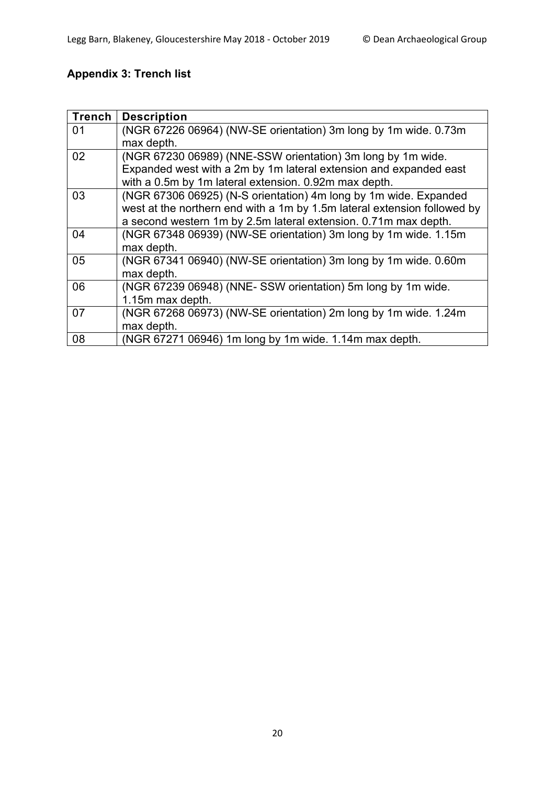# **Appendix 3: Trench list**

| <b>Trench</b> | <b>Description</b>                                                       |
|---------------|--------------------------------------------------------------------------|
| 01            | (NGR 67226 06964) (NW-SE orientation) 3m long by 1m wide. 0.73m          |
|               | max depth.                                                               |
| 02            | (NGR 67230 06989) (NNE-SSW orientation) 3m long by 1m wide.              |
|               | Expanded west with a 2m by 1m lateral extension and expanded east        |
|               | with a 0.5m by 1m lateral extension. 0.92m max depth.                    |
| 03            | (NGR 67306 06925) (N-S orientation) 4m long by 1m wide. Expanded         |
|               | west at the northern end with a 1m by 1.5m lateral extension followed by |
|               | a second western 1m by 2.5m lateral extension. 0.71m max depth.          |
| 04            | (NGR 67348 06939) (NW-SE orientation) 3m long by 1m wide. 1.15m          |
|               | max depth.                                                               |
| 05            | (NGR 67341 06940) (NW-SE orientation) 3m long by 1m wide. 0.60m          |
|               | max depth.                                                               |
| 06            | (NGR 67239 06948) (NNE-SSW orientation) 5m long by 1m wide.              |
|               | 1.15m max depth.                                                         |
| 07            | (NGR 67268 06973) (NW-SE orientation) 2m long by 1m wide. 1.24m          |
|               | max depth.                                                               |
| 08            | (NGR 67271 06946) 1m long by 1m wide. 1.14m max depth.                   |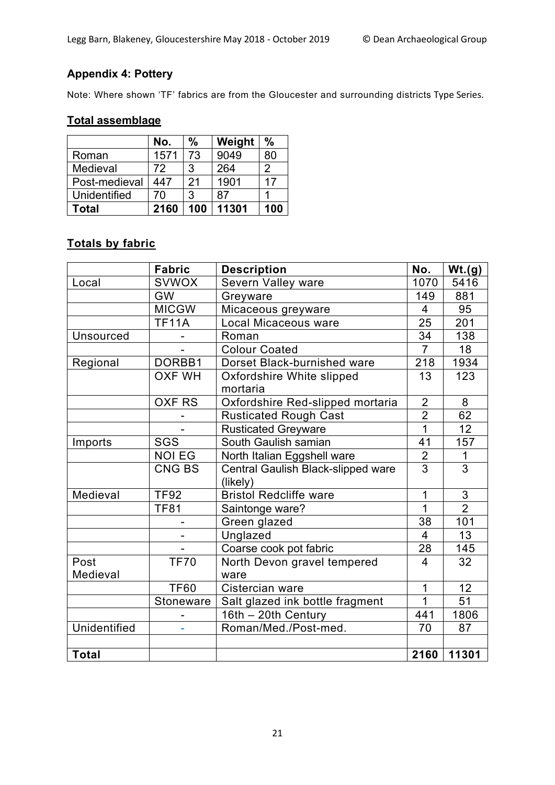## **Appendix 4: Pottery**

Note: Where shown 'TF' fabrics are from the Gloucester and surrounding districts Type Series.

## **Total assemblage**

|               | No.  | $\frac{0}{0}$ | Weight | $\frac{0}{0}$ |
|---------------|------|---------------|--------|---------------|
| Roman         | 1571 | 73            | 9049   | 80            |
| Medieval      | 72   | 3             | 264    | 2             |
| Post-medieval | 447  | 21            | 1901   | 17            |
| Unidentified  | 70   | 3             | 87     |               |
| Total         | 2160 | 100           | 11301  | 100           |

## **Totals by fabric**

|                     | <b>Fabric</b> | <b>Description</b>                             | No.            | Wt.(g)                    |
|---------------------|---------------|------------------------------------------------|----------------|---------------------------|
| Local               | <b>SVWOX</b>  | Severn Valley ware                             | 1070           | 5416                      |
|                     | <b>GW</b>     | Greyware                                       | 149            | 881                       |
|                     | <b>MICGW</b>  | Micaceous greyware                             | 4              | 95                        |
|                     | <b>TF11A</b>  | Local Micaceous ware                           | 25             | 201                       |
| <b>Unsourced</b>    |               | Roman                                          | 34             | 138                       |
|                     |               | <b>Colour Coated</b>                           | $\overline{7}$ | 18                        |
| Regional            | DORBB1        | Dorset Black-burnished ware                    | 218            | 1934                      |
|                     | <b>OXF WH</b> | Oxfordshire White slipped<br>mortaria          | 13             | 123                       |
|                     | <b>OXF RS</b> | Oxfordshire Red-slipped mortaria               | $\overline{2}$ | 8                         |
|                     |               | <b>Rusticated Rough Cast</b>                   | $\overline{2}$ | 62                        |
|                     |               | <b>Rusticated Greyware</b>                     | 1              | 12                        |
| Imports             | SGS           | South Gaulish samian                           | 41             | 157                       |
|                     | <b>NOI EG</b> | North Italian Eggshell ware                    | $\overline{2}$ | 1                         |
|                     | CNG BS        | Central Gaulish Black-slipped ware<br>(likely) | 3              | 3                         |
| Medieval            | <b>TF92</b>   | <b>Bristol Redcliffe ware</b>                  | 1              | $\ensuremath{\mathsf{3}}$ |
|                     | <b>TF81</b>   | Saintonge ware?                                | 1              | $\overline{2}$            |
|                     |               | Green glazed                                   | 38             | 101                       |
|                     |               | Unglazed                                       | $\overline{4}$ | 13                        |
|                     |               | Coarse cook pot fabric                         | 28             | 145                       |
| Post                | <b>TF70</b>   | North Devon gravel tempered                    | $\overline{4}$ | 32                        |
| Medieval            |               | ware                                           |                |                           |
|                     | <b>TF60</b>   | Cistercian ware                                | 1              | 12                        |
|                     | Stoneware     | Salt glazed ink bottle fragment                | $\overline{1}$ | 51                        |
|                     |               | 16th - 20th Century                            | 441            | 1806                      |
| <b>Unidentified</b> |               | Roman/Med./Post-med.                           | 70             | 87                        |
|                     |               |                                                |                |                           |
| <b>Total</b>        |               |                                                | 2160           | 11301                     |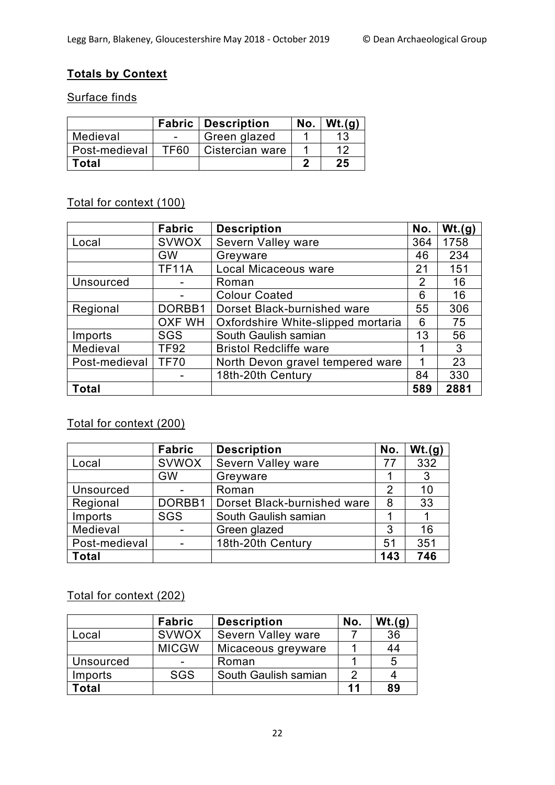## **Totals by Context**

### Surface finds

|               |      | <b>Fabric   Description</b> | No. | Wt.(q) |
|---------------|------|-----------------------------|-----|--------|
| Medieval      |      | Green glazed                |     |        |
| Post-medieval | TF60 | Cistercian ware             |     | 12     |
| <b>Total</b>  |      |                             |     | 25     |

## Total for context (100)

|                  | <b>Fabric</b> | <b>Description</b>                 | No. | Wt.(g) |
|------------------|---------------|------------------------------------|-----|--------|
| Local            | <b>SVWOX</b>  | Severn Valley ware                 | 364 | 1758   |
|                  | <b>GW</b>     | Greyware                           | 46  | 234    |
|                  | <b>TF11A</b>  | Local Micaceous ware               | 21  | 151    |
| <b>Unsourced</b> |               | Roman                              | 2   | 16     |
|                  |               | <b>Colour Coated</b>               | 6   | 16     |
| Regional         | DORBB1        | Dorset Black-burnished ware        | 55  | 306    |
|                  | <b>OXF WH</b> | Oxfordshire White-slipped mortaria | 6   | 75     |
| Imports          | <b>SGS</b>    | South Gaulish samian               | 13  | 56     |
| Medieval         | <b>TF92</b>   | <b>Bristol Redcliffe ware</b>      | 1   | 3      |
| Post-medieval    | <b>TF70</b>   | North Devon gravel tempered ware   | 1   | 23     |
|                  |               | 18th-20th Century                  | 84  | 330    |
| <b>Total</b>     |               |                                    | 589 | 2881   |

## Total for context (200)

|                  | <b>Fabric</b>            | <b>Description</b>          | No. | Wt.(g) |
|------------------|--------------------------|-----------------------------|-----|--------|
| Local            | <b>SVWOX</b>             | Severn Valley ware          | 77  | 332    |
|                  | <b>GW</b>                | Greyware                    |     | 3      |
| <b>Unsourced</b> |                          | Roman                       | 2   | 10     |
| Regional         | DORBB1                   | Dorset Black-burnished ware | 8   | 33     |
| Imports          | <b>SGS</b>               | South Gaulish samian        |     |        |
| Medieval         |                          | Green glazed                | 3   | 16     |
| Post-medieval    | $\overline{\phantom{0}}$ | 18th-20th Century           | 51  | 351    |
| <b>Total</b>     |                          |                             | 143 | 746    |

# Total for context (202)

|                  | <b>Fabric</b>            | <b>Description</b>        | No. | Wt.(q) |
|------------------|--------------------------|---------------------------|-----|--------|
| Local            | <b>SVWOX</b>             | <b>Severn Valley ware</b> |     | 36     |
|                  | <b>MICGW</b>             | Micaceous greyware        |     | 44     |
| <b>Unsourced</b> | $\overline{\phantom{0}}$ | Roman                     |     | 5      |
| Imports          | <b>SGS</b>               | South Gaulish samian      |     |        |
| 'otal            |                          |                           | 11  | 89     |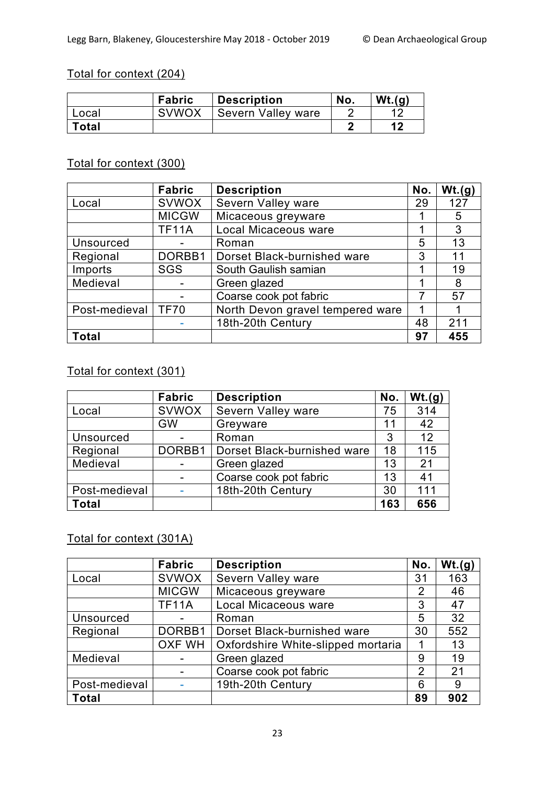## Total for context (204)

|              | <b>Fabric</b> | <b>Description</b> | No. | Wt.(q) |
|--------------|---------------|--------------------|-----|--------|
| Local        | <b>SVWOX</b>  | Severn Valley ware |     |        |
| <b>Total</b> |               |                    |     | 1 O    |

## Total for context (300)

|                  | <b>Fabric</b> | <b>Description</b>               | No. | Wt.(g) |
|------------------|---------------|----------------------------------|-----|--------|
| Local            | <b>SVWOX</b>  | Severn Valley ware               | 29  | 127    |
|                  | <b>MICGW</b>  | Micaceous greyware               |     | 5      |
|                  | <b>TF11A</b>  | Local Micaceous ware             | 1   | 3      |
| <b>Unsourced</b> |               | Roman                            | 5   | 13     |
| Regional         | DORBB1        | Dorset Black-burnished ware      | 3   | 11     |
| Imports          | <b>SGS</b>    | South Gaulish samian             | 1   | 19     |
| Medieval         |               | Green glazed                     | 1   | 8      |
|                  |               | Coarse cook pot fabric           | 7   | 57     |
| Post-medieval    | <b>TF70</b>   | North Devon gravel tempered ware | 1   |        |
|                  |               | 18th-20th Century                | 48  | 211    |
| <b>Total</b>     |               |                                  | 97  | 455    |

## Total for context (301)

|                  | <b>Fabric</b> | <b>Description</b>          | No. | Wt.(g) |
|------------------|---------------|-----------------------------|-----|--------|
| Local            | <b>SVWOX</b>  | Severn Valley ware          | 75  | 314    |
|                  | <b>GW</b>     | Greyware                    | 11  | 42     |
| <b>Unsourced</b> |               | Roman                       | 3   | 12     |
| Regional         | DORBB1        | Dorset Black-burnished ware | 18  | 115    |
| Medieval         |               | Green glazed                | 13  | 21     |
|                  |               | Coarse cook pot fabric      | 13  | 41     |
| Post-medieval    |               | 18th-20th Century           | 30  | 111    |
| <b>Total</b>     |               |                             | 163 | 656    |

## Total for context (301A)

|                  | <b>Fabric</b> | <b>Description</b>                 | No.            | Wt.(g) |
|------------------|---------------|------------------------------------|----------------|--------|
| Local            | <b>SVWOX</b>  | Severn Valley ware                 | 31             | 163    |
|                  | <b>MICGW</b>  | Micaceous greyware                 | 2              | 46     |
|                  | <b>TF11A</b>  | Local Micaceous ware               | 3              | 47     |
| <b>Unsourced</b> |               | Roman                              | 5              | 32     |
| Regional         | DORBB1        | Dorset Black-burnished ware        | 30             | 552    |
|                  | OXF WH        | Oxfordshire White-slipped mortaria |                | 13     |
| Medieval         |               | Green glazed                       | 9              | 19     |
|                  |               | Coarse cook pot fabric             | $\overline{2}$ | 21     |
| Post-medieval    |               | 19th-20th Century                  | 6              | 9      |
| <b>Total</b>     |               |                                    | 89             | 902    |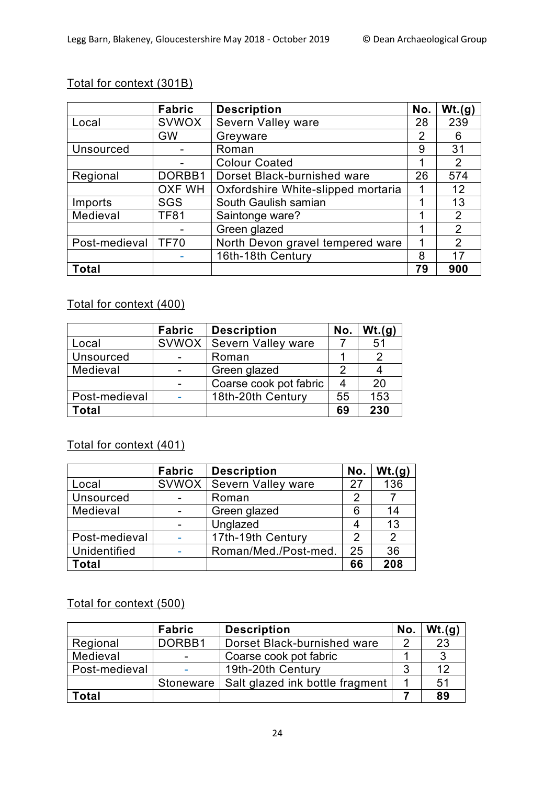## Total for context (301B)

|                  | Fabric        | <b>Description</b>                 | No. | Wt.(g)         |
|------------------|---------------|------------------------------------|-----|----------------|
| Local            | <b>SVWOX</b>  | Severn Valley ware                 | 28  | 239            |
|                  | <b>GW</b>     | Greyware                           |     | 6              |
| <b>Unsourced</b> |               | Roman                              | 9   | 31             |
|                  |               | <b>Colour Coated</b>               | 1   | 2              |
| Regional         | DORBB1        | Dorset Black-burnished ware        | 26  | 574            |
|                  | <b>OXF WH</b> | Oxfordshire White-slipped mortaria |     | 12             |
| Imports          | <b>SGS</b>    | South Gaulish samian               | 1   | 13             |
| Medieval         | <b>TF81</b>   | Saintonge ware?                    | 1   | 2              |
|                  |               | Green glazed                       |     | $\overline{2}$ |
| Post-medieval    | <b>TF70</b>   | North Devon gravel tempered ware   | 1   | 2              |
|                  |               | 16th-18th Century                  | 8   | 17             |
| <b>Total</b>     |               |                                    | 79  | 900            |

## Total for context (400)

|                  | Fabric | <b>Description</b>        | No. | Wt.(g) |
|------------------|--------|---------------------------|-----|--------|
| Local            | SVWOX  | <b>Severn Valley ware</b> |     | 51     |
| <b>Unsourced</b> |        | Roman                     |     |        |
| Medieval         |        | Green glazed              | 2   |        |
|                  |        | Coarse cook pot fabric    | 4   | 20     |
| Post-medieval    |        | 18th-20th Century         | 55  | 153    |
| Total            |        |                           | 69  | 230    |

## Total for context (401)

|                  | Fabric | <b>Description</b>   | No. | Wt.(g) |
|------------------|--------|----------------------|-----|--------|
| Local            | SVWOX  | Severn Valley ware   | 27  | 136    |
| <b>Unsourced</b> |        | Roman                | 2   |        |
| Medieval         |        | Green glazed         | 6   | 14     |
|                  |        | Unglazed             |     | 13     |
| Post-medieval    |        | 17th-19th Century    | 2   | 2      |
| Unidentified     |        | Roman/Med./Post-med. | 25  | 36     |
| Total            |        |                      | 66  | 208    |

## Total for context (500)

|               | <b>Fabric</b>  | <b>Description</b>              | No. | Wt.(g) |
|---------------|----------------|---------------------------------|-----|--------|
| Regional      | DORBB1         | Dorset Black-burnished ware     |     | 23     |
| Medieval      | $\blacksquare$ | Coarse cook pot fabric          |     | ູ      |
| Post-medieval | ٠              | 19th-20th Century               | 3   | 12     |
|               | Stoneware      | Salt glazed ink bottle fragment |     | 51     |
| Total         |                |                                 |     | 89     |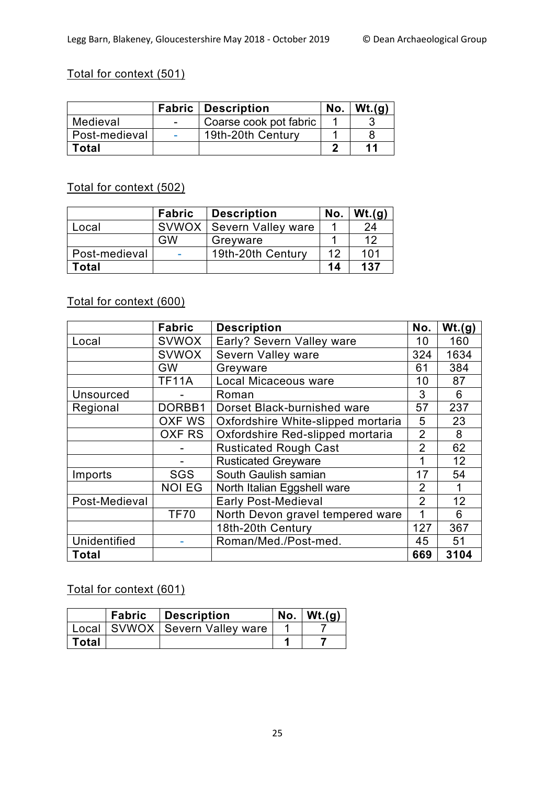## Total for context (501)

|               | <b>Fabric   Description</b> | No. | Wt.(q) |
|---------------|-----------------------------|-----|--------|
| Medieval      | Coarse cook pot fabric      |     |        |
| Post-medieval | 19th-20th Century           |     |        |
| Total         |                             |     | 11     |

## Total for context (502)

|               | <b>Fabric</b> | <b>Description</b>        | No. | Wt.(q) |
|---------------|---------------|---------------------------|-----|--------|
| ∟ocal         | <b>SVWOX</b>  | <b>Severn Valley ware</b> |     | 24     |
|               | GW            | Greyware                  |     | 12     |
| Post-medieval |               | 19th-20th Century         | ィク  | 101    |
| Total         |               |                           | 14  | 137    |

## Total for context (600)

|                     | <b>Fabric</b> | <b>Description</b>                 | No.            | Wt.(g) |
|---------------------|---------------|------------------------------------|----------------|--------|
| Local               | <b>SVWOX</b>  | Early? Severn Valley ware          | 10             | 160    |
|                     | <b>SVWOX</b>  | Severn Valley ware                 | 324            | 1634   |
|                     | GW            | Greyware                           | 61             | 384    |
|                     | <b>TF11A</b>  | Local Micaceous ware               | 10             | 87     |
| <b>Unsourced</b>    |               | Roman                              | 3              | 6      |
| Regional            | DORBB1        | Dorset Black-burnished ware        | 57             | 237    |
|                     | <b>OXF WS</b> | Oxfordshire White-slipped mortaria | 5              | 23     |
|                     | OXF RS        | Oxfordshire Red-slipped mortaria   | $\overline{2}$ | 8      |
|                     |               | <b>Rusticated Rough Cast</b>       | $\overline{2}$ | 62     |
|                     |               | <b>Rusticated Greyware</b>         | 1              | 12     |
| Imports             | <b>SGS</b>    | South Gaulish samian               | 17             | 54     |
|                     | <b>NOI EG</b> | North Italian Eggshell ware        | $\overline{2}$ | 1      |
| Post-Medieval       |               | <b>Early Post-Medieval</b>         | $\overline{2}$ | 12     |
|                     | <b>TF70</b>   | North Devon gravel tempered ware   | 1              | 6      |
|                     |               | 18th-20th Century                  | 127            | 367    |
| <b>Unidentified</b> |               | Roman/Med./Post-med.               | 45             | 51     |
| Total               |               |                                    | 669            | 3104   |

## Total for context (601)

|         | <b>Fabric</b>   Description        | $No.$ Wt.(g) |
|---------|------------------------------------|--------------|
|         | Local   SVWOX   Severn Valley ware |              |
| ∣ Total |                                    |              |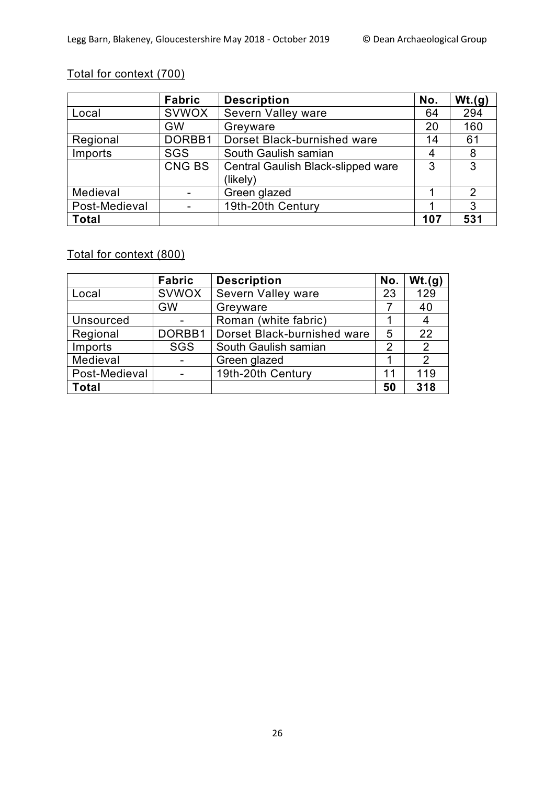# Total for context (700)

|               | <b>Fabric</b> | <b>Description</b>                 | No. | Wt.(g)         |
|---------------|---------------|------------------------------------|-----|----------------|
| Local         | <b>SVWOX</b>  | Severn Valley ware                 | 64  | 294            |
|               | <b>GW</b>     | Greyware                           | 20  | 160            |
| Regional      | DORBB1        | Dorset Black-burnished ware        | 14  | 61             |
| Imports       | <b>SGS</b>    | South Gaulish samian               | 4   | 8              |
|               | <b>CNG BS</b> | Central Gaulish Black-slipped ware | 3   | 3              |
|               |               | (likely)                           |     |                |
| Medieval      |               | Green glazed                       |     | $\overline{2}$ |
| Post-Medieval |               | 19th-20th Century                  |     | 3              |
| <b>Total</b>  |               |                                    | 107 | 531            |

## Total for context (800)

|                  | <b>Fabric</b> | <b>Description</b>          | No. | Wt.(g)         |
|------------------|---------------|-----------------------------|-----|----------------|
| Local            | <b>SVWOX</b>  | Severn Valley ware          | 23  | 129            |
|                  | <b>GW</b>     | Greyware                    |     | 40             |
| <b>Unsourced</b> |               | Roman (white fabric)        |     | 4              |
| Regional         | DORBB1        | Dorset Black-burnished ware | 5   | 22             |
| Imports          | <b>SGS</b>    | South Gaulish samian        | 2   | $\overline{2}$ |
| Medieval         |               | Green glazed                |     | $\overline{2}$ |
| Post-Medieval    |               | 19th-20th Century           | 11  | 119            |
| <b>Total</b>     |               |                             | 50  | 318            |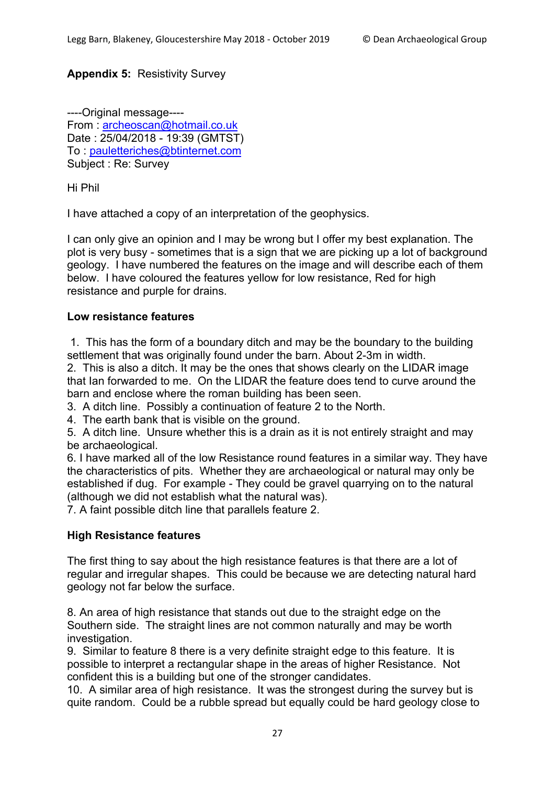### **Appendix 5:** Resistivity Survey

----Original message---- From : archeoscan@hotmail.co.uk Date : 25/04/2018 - 19:39 (GMTST) To : pauletteriches@btinternet.com Subject : Re: Survey

Hi Phil

I have attached a copy of an interpretation of the geophysics.

I can only give an opinion and I may be wrong but I offer my best explanation. The plot is very busy - sometimes that is a sign that we are picking up a lot of background geology. I have numbered the features on the image and will describe each of them below. I have coloured the features yellow for low resistance, Red for high resistance and purple for drains.

#### **Low resistance features**

1. This has the form of a boundary ditch and may be the boundary to the building settlement that was originally found under the barn. About 2-3m in width.

2. This is also a ditch. It may be the ones that shows clearly on the LIDAR image that Ian forwarded to me. On the LIDAR the feature does tend to curve around the barn and enclose where the roman building has been seen.

3. A ditch line. Possibly a continuation of feature 2 to the North.

4. The earth bank that is visible on the ground.

5. A ditch line. Unsure whether this is a drain as it is not entirely straight and may be archaeological.

6. I have marked all of the low Resistance round features in a similar way. They have the characteristics of pits. Whether they are archaeological or natural may only be established if dug. For example - They could be gravel quarrying on to the natural (although we did not establish what the natural was).

7. A faint possible ditch line that parallels feature 2.

#### **High Resistance features**

The first thing to say about the high resistance features is that there are a lot of regular and irregular shapes. This could be because we are detecting natural hard geology not far below the surface.

8. An area of high resistance that stands out due to the straight edge on the Southern side. The straight lines are not common naturally and may be worth investigation.

9. Similar to feature 8 there is a very definite straight edge to this feature. It is possible to interpret a rectangular shape in the areas of higher Resistance. Not confident this is a building but one of the stronger candidates.

10. A similar area of high resistance. It was the strongest during the survey but is quite random. Could be a rubble spread but equally could be hard geology close to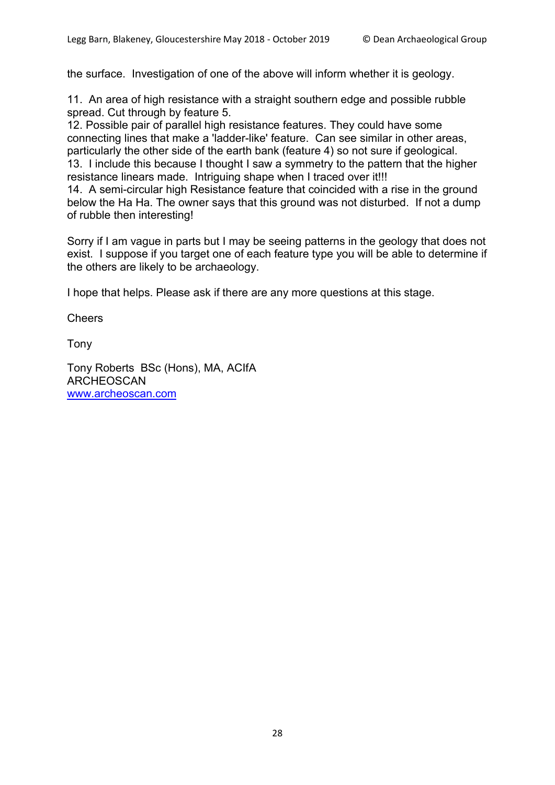the surface. Investigation of one of the above will inform whether it is geology.

11. An area of high resistance with a straight southern edge and possible rubble spread. Cut through by feature 5.

12. Possible pair of parallel high resistance features. They could have some connecting lines that make a 'ladder-like' feature. Can see similar in other areas, particularly the other side of the earth bank (feature 4) so not sure if geological. 13. I include this because I thought I saw a symmetry to the pattern that the higher resistance linears made. Intriguing shape when I traced over it!!!

14. A semi-circular high Resistance feature that coincided with a rise in the ground below the Ha Ha. The owner says that this ground was not disturbed. If not a dump of rubble then interesting!

Sorry if I am vague in parts but I may be seeing patterns in the geology that does not exist. I suppose if you target one of each feature type you will be able to determine if the others are likely to be archaeology.

I hope that helps. Please ask if there are any more questions at this stage.

**Cheers** 

Tony

Tony Roberts BSc (Hons), MA, ACIfA ARCHEOSCAN www.archeoscan.com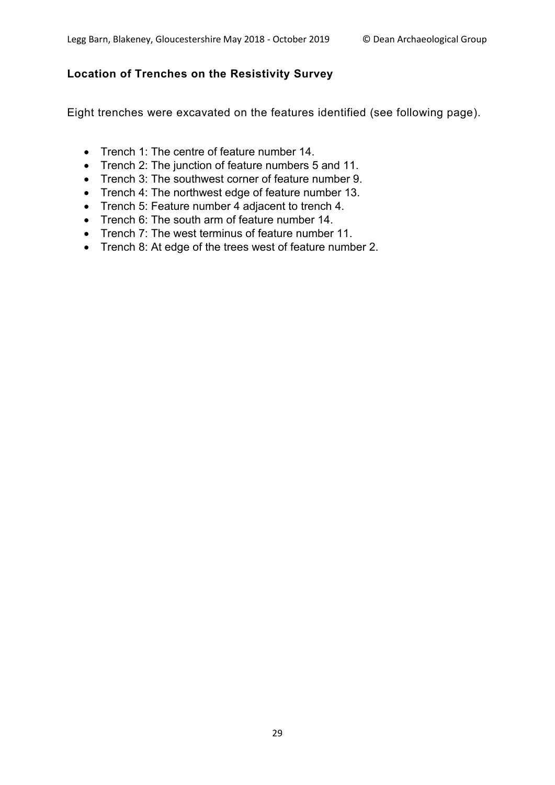## **Location of Trenches on the Resistivity Survey**

Eight trenches were excavated on the features identified (see following page).

- Trench 1: The centre of feature number 14.
- Trench 2: The junction of feature numbers 5 and 11.
- Trench 3: The southwest corner of feature number 9.
- Trench 4: The northwest edge of feature number 13.
- Trench 5: Feature number 4 adjacent to trench 4.
- Trench 6: The south arm of feature number 14.
- Trench 7: The west terminus of feature number 11.
- Trench 8: At edge of the trees west of feature number 2.